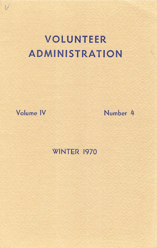**VOLUNTEER ADMINISTRATION** 

u

Volume IV Number 4

**WINTER 1970**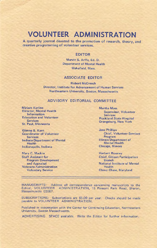# **VOLUNTEER ADMINISTRATION**

A quarterly journal devoted to the promotion of research, theory, and creative programming of volunteer services.

#### EDITOR

Marvin S. Arffa, Ed. D. Department of Mental Health Wakefield, Mass.

### ASSOCIATE EDITOR

Robert McCreech Director, Institute for Advancement of Human Services Northeastern University, Boston, Massachusetts

#### ADVISORY EDITORIAL COMMITTEE

Miriam Karlins Director, Mental Health Information Education and Volunteer Services St. Paul, Minnesota

Glenna B. Kent Coordinator of Volunteer Services Indiana Department of Mental Health Indianapolis, Indiana

Mary C. Mackin Staff Assistant for Program Development and Appraisal Veterans Administration Voluntary Service

Martha Moss Supervisor, Volunteer **Services** Rockland State Hospital Orangeburg, New York

Jane Phillips Chief, Volunteer Services Program Illinois Department of Mental Health Chicago, Illinois

Herbert Rooney Chief, Citizen Participation Branch National Institute of Mental **Health** Chevy Chase, Maryland

MANUSCRIPTS: Address all correspondence concerning manuscripts to the Editor, VOLUNTEER ADMINISTRATION, 15 Pleasant Park Road, Sharon. Massachusetts 02067.

SUBSCRIPTIONS: Subscriptions are \$5.00 per year. Checks should be made payable to VOLUNTEER ADMINISTRATION.

Published in cooperation with the Center for Continuing Education, Northeastern University, Boston Massachusetts.

ADVERTISING SPACE available. Write the Editor for further information.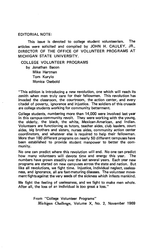#### EDITORIAL NOTE:

This issue is devoted to college student volunteerism. The articles were solicited and compiled by JOHN H. CAULEY, JR., DIRECTOR OF THE OFFICE OF VOLUNTEER PROGRAMS AT MICHIGAN STATE UNIVERSITY.

COLLEGE VOLUNTEER PROGRAMS

by Jonathan Bacon Mike Hartman Tom Kurylo Monica Osebold

"This edition is introducing a new revolution, one which will reach its zenith when men truly care for their fellowmen. This revolution has invaded the classroom, the courtroom, the action center, and every citadel of poverty, ignorance and injustice. The soldiers of this crusade are college students working for community betterment.

College students, numbering more than 14,000 were involved last year in this campus-community revolt. They were working with the young, the elderly, the black, the white, Mexican-American, and Indian. Volunteers are functioning as tutors, teacher aides, club leaders, court aides, big brothers and sisters, nurses aides, community action center coordinators, and whatever else is required to help their fellowman. More than 180 different programs on nearly 50 different campuses have been established to provide student manpower to better the community.

No one can predict where this revolution will end. No one can predict how many volunteers will devote time and energy this year. The numbers have grown steadily over the last several years. Each year new programs are started on new campuses across the state and nation. But like all revolutions, we fight time. Injustice, individual neglect, uselessness, and ignorance, all are fast-maturing diseases. The volunteer movement fights against the very seeds of the sickness which infests mankind.

We fight the feeling of uselessness, and we fight to make men whole. After all, the loss of an individual is too great a loss."

> From "College Volunteer Programs" *Michigan Challenge,* Volume X, No. 2, November 1969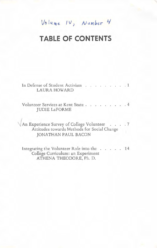# Volume IV, Number 4

# **TABLE OF CONTENTS**

| In Defense of Student Activism<br>and the contract of the state of the state of the state of the state of the state of the state of the state of the state of the state of the state of the state of the state of the state of the state of the state of the sta<br><b>LAURA HOWARD</b> |  |  |
|-----------------------------------------------------------------------------------------------------------------------------------------------------------------------------------------------------------------------------------------------------------------------------------------|--|--|
| Volunteer Services at Kent State4<br><b>JUDIE LaFORME</b>                                                                                                                                                                                                                               |  |  |
| <b>JONATHAN PAUL BACON</b>                                                                                                                                                                                                                                                              |  |  |
| Integrating the Volunteer Role into the 14<br>College Curriculum: an Experiment                                                                                                                                                                                                         |  |  |

ATHENA THEODORE, Ph.D.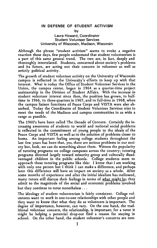#### **IN DEFENSE OF STUDENT ACTIVISM**

by

Laura Howard, Coordinator Student Volunteer Services University of Wisconsin, Madison, Wisconsin

Although the phrase "student activism" seems to evoke a negative reaction these days, few people understand that student volunteerism is a part of this same general trend. The two are, in. fact, deeply and thoroughly interrelated. Students, concerned about society's problems and its future, are acting out their concern in volunteer as well as strictly political activity.

The growth of student volunteer activity on the University of Wisconsin campus is reflected in the University's efforts to keep up with that interest. What is today the Office of Student Volunteer Services in the Union, the campus center, began in 1964 as a quarter-time project assistantship in the Division of Student Affairs. With the increase in student volunteer interest since then, the position has grown, to halftime in 1966, to three-quarters in 1967, and to full-time in 1968, when the campus liaison functions of Peace Corps and VISTA were also absorbed. Today the Coordinator of Student Volunteer Services tries to meet the needs of the Madison and campus communities in as wide a range as possible.

The 1960's have been called The Decade of Concern. Certainly the increasing awareness of students to world and national social problems is reflected in the commitment of young people to the ideals of the Peace Corps and VISTA as well as to the solution of problems closer to home. An important feeling among college students throughout the last few years has been that, yes, there are serious problems in our society but, look, we can do something about them. Witness the popularity of tutoring programs on college campuses across the country; tutoring programs directed largely toward minority group and culturally disadvantaged children in the public schools. College students seem to approach these tutoring programs like this: I know that I am working with only one person but I think I can make a difference, and perhaps later this difference will have an impact on society as a whole. After some months of experience and after the initial idealism has mellowed, many tutors still discuss their feelings in terms of what might be; they admit to the magnitude of the social and economic problems involved but they continue to tutor nonetheless ...

The ideology of student volunteerism is fairly consistent. College volunteers want to work in one-to-one relationships with other people and they want to know that what they do as volunteers is important. The degree of importance, however, can vary. On the one hand, the traditional volunteer concern, the relationship, is important; for a tutor it might be helping a potential drop-out find a reason for staying in school. On the other hand, the student volunteer's concerns are non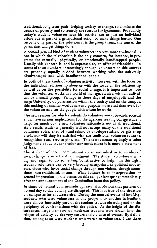traditional, long-term goals: helping society to change, to eliminate the causes of poverty and to remedy the reasons for ignorance. Frequently today's student volunteer sees his activity not as just an individual effort but as part of a generational action to make things better. One tutor is only part of the solution; it is the group thrust, the sum of the parts, that will get things done.

A second general kind of student volunteer interest, more traditional, is one in which the relationship is the only concern, for instance, in programs for mentally, physically, or emotionally handicapped people. Usually this concern is, and is expressed as, an offer of friendship. In terms of sheer numbers, interestingly enough, volunteers on this campus are probably equally divided between working with the culturally disadvantaged and with handicapped people.

In both of these kinds of volunteer activity, however, with the focus on the individual relationship alone or with the focus on the relationship as well as on the possibility for social change, it is important to note that the volunteer works in a world of manageable size, with an individual or a small group. Perhaps in these days of megalopolis and the mega-University, of polarization within the society and on the campus, this making of smaller worlds serves a purpose more vital than ever, for the volunteer and for the people with whom he works.

The new reasons for which students do volunteer work, towards societal ends, have serious implications for the agencies seeking college student help, for much of the new volunteer rationale is not at all traditional. As a result, students generally will not accept many of the traditional volunteer roles, that of fund-raiser, or envelope-stuffer, or gift shop clerk, nor will they be satisfied with the traditional volunteer rewards, recognition teas, service pins, etc. This is not meant to imply a value judgement about student volunteer motivation; it is more a statement of fact.

The student volunteer commitment to an individual or to an idea of social change is an activist commitment. The student volunteer is willing and eager to do something constructive to help. In this light, student volunteers can be very broadly categorized as political moderates, those who favor social change through non-violent, though sometimes non-traditional, means. What follows is an interpretation or general impression of the events on this campus last spring immediately after the announcement of the Cambodian incursion policy.

In times of natural or man-made upheaval it is obvious that patterns of normal day-to-day activity are disrupted. This is as true of the situation on campus as for anywhere else. During the unusual events of last May, students who were volunteers in one program or another in Madison were almost inevitably part of the student crowds observing and on the periphery of confrontations with the police. At the height of the disturbances, large numbers of moderate students were drawn into the fringes of activity by the very nature and violence of events. By definition, among them were students who were also volunteers. I was there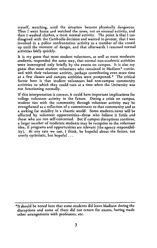myself, watching, until the situation became physically dangerous. Then I went home and watched the news, not an unusual activity, and then I washed clothes, a most normal activity. The point is that I too disagreed with the Cambodia decision and wanted to protest, that I was involved in a police confrontation activity as a member of the crowd up until the moment of danger, and that afterwards I resumed normal activities fairly quickly.

It is my guess that most student volunteers, as well as most moderate students, responded the same way, that normal non-academic activities were interrupted only briefly by the events on campus. It is also my guess that most student volunteers who remained in Madison\* continued with their volunteer activity, perhaps contributing even more time as a few classes and campus activities were postponed.\* The critical factor here is that student volunteers had non-campus community activities to which they could turn at a time when the University was not functioning normally.

If this interpretation is correct, it could have important implications for college volunteer activity in the future. During a crisis on campus, student ties with the community through volunteer activity may be strengthened as a reflection of a commitment to that community and as a seeking for stability in a chaotic world. Some students never will be affected by volunteer opportunities-those who believe it futile and those who are too self-concerned. But if campus disruptions continue, a larger number of moderate students may be receptive to the volunteer idea, if programs and opportunities are relevant (the agency responsibility). At any rate we can, I think, be hopeful about the future, not overly optimistic, but hopeful ...

<sup>\*</sup>It should be noted here that some students did leave Madison during the disruptions and some of them did not return for exams, having made other arrangements with professors, etc.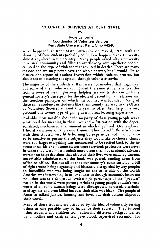#### **VOLUNTEER SERVICES AT KENT STATE**

by

#### Judie La Forme Coordinator of Volunteer Services Kent State University, Kent, Ohio 44240

What happened at Kent State University on May 4, 1970 with the shooting of four students probably could have happened at a University almost anywhere in the country. Many people asked why a university in a rural community and filled to overflowing with apathetic people, erupted in the type of violence that resulted in death? There are many reasons and we may never have the whole answer, but I would like to discuss one aspect of student frustration which leads to protest, but also leads to bettering the system through volunteer service.

The majority of the students at Kent were not involved that tragic day, but some of them who were, included the same students who suffer from a sense of meaninglessness, helplessness and frustration with the general society's disrespect for the ideals of decent human relations and the freedom principles on which this country was founded. Many of these same students or students like them found their way to the Office of Volunteer Services at Kent this year to offer their help in a very personal one-to-one type of giving in a mutual learning experience.

Probably most notable about the majority of these young people was a great need for meaning in their lives and a frustration with the depersonalized, mechanized environment in which they lived. Over and over I heard variations on the same theme. They found little satisfaction with their studies: very little learning by experience; not much chance to be creative or pursue the subjects they would like to choose; classes were too large; everything was memorized to be recited back to the instructor on his exam; some classes were televised; professors were never in when they were most needed; more often than not academic advisors were of no help; decisions that affected their lives were made by unseen, unavailable administrators; the buck was passed, sending them from office to office. Besides all of that our country's constitution and bill of rights were being flagrantly and blatantly disregarded by key people; an incredible war was being fought on the othet side of the world; America was intervening in other countries through economic interests; pollution was at a dangerous level; a high percentage of the "greatest" nation in the world were poverty stricken; young people couldn't vote; worst of all some human beings were disrespected, harassed, discriminated against and even killed because their skin was black. The people of America talked justice, honesty and love, but their actions disproved their words.

Many of these students are attracted by the idea of voluntarily serving others as one possible way to influence their society. They tutored other students and children from culturally different backgrounds, set up a hotline and crisis center, gave blood, supervised recreation for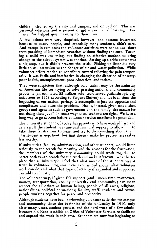children, cleaned up the city and campus, and on and on. This was personal relations and experiential and experimental learning. For many this helped give meaning to their lives.

A few others were very skeptical, however, and became frustrated because so many people, and especially many students, didn't care. And except in rare cases the volunteer activities were bandaides-short term patching of immediate scratches without finding the cure. Tutoring a child was one thing, but finding an effective method to bring change to the school system was another. Setting up a crisis center was a big step, but it didn't prevent the crisis. Picking up litter did very little to call attention to the danger of air and water pollution. While volunteer effort tended to contribute toward relieving the pain temporarily, it was futile and ineffective in changing the direction of poverty, poor health, unemployment, poor education, and racism.

They were suspicious that, although voluntarism may be the mainstay of American life for trying to solve pressing national and community problems (an estimated 55 million volunteers served philanthropic organizations in 1968 according to Sargent Shriver) and has been since the beginning of our nation, perhaps it accomplishes just the opposite and complicates and blurs the problem. Has it, instead, given established groups and agencies such as government and the family, the excuse for not doing their jobs? In some ways these students are right. We have a long way to go at Kent before volunteer service manifests its potential.

The university student of today has parents who have worked hard and as a result the student has time and financial support to allow him to take these frustrations to heart and try to do something about them. The student is impatient, but that doesn't make his protest less real or less worthy.

If universities (faculty, administration, and other students) would listen seriously to the search for meaning and the reasons for the frustration, the members of the university community could work together to better society-to search for the truth and make it known. What better place than a University? I feel that what most of the students here at Kent in volunteer programs have experienced shows what volunteer work can do and what that type of activity if expanded and supported can add to education.

The volunteer way, if given full support (and I mean time, manpower, money, transportation, etc. by university and community) can mean respect for all others as human beings, people of all races, religions, nationalities, political persuasions; faculty, staff, students and townspeople working together for peace and prosperity.

Although students have been performing volunteer activities for campus and community since the beginning of the university in 1910, only after many years, student protest, and the hard work of a few administrators did Kent establish an Office of Volunteer Services to facilitate and expand the work in this area. Students are now just beginning to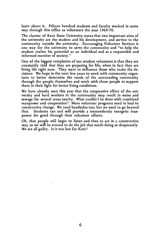learn about it. Fifteen hundred students and faculty worked in some way through this office as volunteers the year 1969-70.

The charter of Kent State University states that two important aims of the university are the student and his development, and service to the community outside the university. Encouraging Volunteer Services is one way for the university to serve the community and "to help the student realize his potential as an individual and as a responsible and informed member of society."

One of the biggest complaints of our student volunteers is that they are constantly told that they are preparing for life, when in fact they are living life right now. They want to influence those who make the decisions. We hope in the next few years to work with community organizers to better determine the needs of the surrounding community through the people themselves and work with those people to support them in their fight for better living conditions.

We have already seen this year that the cooperative effort of the university and hard workers in the community may result in water and sewage for several areas nearby. What couldn't be done with combined manpower and cooperation? More volunteer programs need to lead to constructive change. We need bandaides too, but we need to go beyond that. Students can and will provide a tremendously energetic manpower for good through their volunteer efforts.

Oh, that people will begin to listen and then to act in a constructive way so we will be around to do the job that needs doing so desperately. We are all guilty. Is it too late for Kent?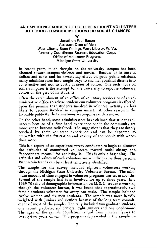#### **AN EXPERIENCE SURVEY OF COLLEGE STUDENT VOLUNTEER ATTITUDES TOWARDS METHODS FOR SOCIAL CHANGES**

by

Jonathon Paul Bacon Assistant Dean of Men West Liberty State College, West Liberty, W. Va. formerly Coordinator Student Education Corps Office of Volunteer Programs Michigan State University

In recent years, much thought on the university campus has been directed toward campus violence and unrest. Because of its cost in dollars and cents and its devastating effect on good public relations, many administrators have sought ways to channel youthful dissent into constructive and not so costly avenues of action. One such move on some campuses is the attempt for the university to espouse voluntary action on the part of its students.

Often the establishment of an office of voluntary services or of an administrative office to advise student-run volunteer programs is effected upon the premise that students involved in volunteer activity are less likely to become involved in campus unrest. Another reason is the favorable publicity that sometimes accompanies such a move.

On the other hand, some administrators have claimed that student volunteers because of a first hand experience out in the community are more apt to become radicalized. The suggestion is that they are deeply touched by their volunteer experience. and can be expected to empathize with the frustration and anxiety of the people with whom they work.

This is a report of an experience survey conducted to begin to discover the attitudes of committed volunteers toward social change and "appropriate means" for achieving it. This is only a beginning. The attitudes and values of each volunteer are as individual as their persons. But certain trends can be at least tentatively identified.

The sample for the survey included eighteen volunteers working through the Michigan State University Volunteer Bureau. The minimum amount of time engaged in volunteer programs was seven months. Several of the sample had been involved for up to three years, In a 1969-70 tally of demographic information on M. S. U. students working through the volunteer bureau, it was found that approximately two female students volunteer for every one male. The sample included twelve women and six men students. The sample was more heavily weighted with Juniors and Seniors because of the long term commit ment of most of the sample. The tally included two graduate students, one recent graduate, six Seniors, eight Juniors and one Sophomore. The ages of the sample population ranged from nineteen years to twenty-two years of age. The programs represented in the sample in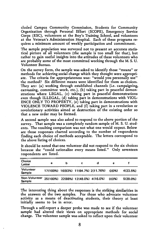eluded Campus Community Commission, Students for Community Organization through Personal Effort (SCOPE), Emergency Service Corps (ESC), volunteers at the Boy's Training School, and volunteers at the Veteran's Administration Hospital. Each of these programs requires a minimum amount of weekly participation and commitment.

The sample population was surveyed not to present an accurate statistical picture of all volunteers (the sample is too small for that), but rather to gain useful insights into the attitudes of these volunteers who are probably some of the most committed working through the M. S. U. Volunteer Bureau.

On the survey form, the sample was asked to identify those "means" or methods for achieving social change which they thought were appropriate. The criteria for appropriateness was: "would you personally use" the method? Six different means were identified for them as choices. They are: (a) working through established channels (i.e. campaigning, canvassing, committee work, etc.), (b) taking part in peaceful demonstrations where LEGAL, (c) taking part in peaceful demonstrations even though ILLEGAL, (d) taking part in demonstrations with VIOL-ENCE ONLY TO PROPERTY, (e) taking part in demonstrations with VIOLENCE TOWARD PEOPLE, and (f) taking part in a revolution or revolutionary activities aimed at destruction of the existing order so that a new order may be formed. .

A second sample was also asked to respond to the above portion of the survey. That sample was a completely random sample of M. S. U. students. The resulting comparison was not what one would expect. Below are those responses charted according to the number of respondents finding each choice of methods acceptable. The letters correspond to the above listing of choices.

It should be noted that one volunteer did not respond to the six choices because she "could rationalize every means listed." Only seventeen respondents are listed.

| Choice<br>Letter        | а | b | с                                    | α | е     |          |
|-------------------------|---|---|--------------------------------------|---|-------|----------|
| Volunteer<br>Sample     |   |   | 17(100%) 16(93%) 11(64.7%) 2(11.76%) |   | 0(0%) | 4(23.5%) |
| Non-Volunteer<br>Sample |   |   | 25(100%) 22(88%) 12(48.0%) 4(16.0%)  |   | 0(0%) | 5(20.0%) |

The interesting thing about the responses is the striking similarities in the answers of the two samples. For those who advocate volunteer activity as a means of deactivating students, their theory at least initially seems to be in error.

Through a self-report a deeper probe was made to see if the volunteer sample had altered their views on appropriate methods for social change. The volunteer sample was asked to reflect upon their volunteer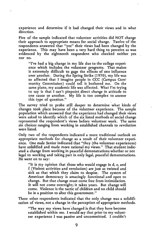experience and determine if it had changed their views and in what direction.

Five of the sample indicated that volunteer activities did NOT change their approach to appropriate means for social change. Twelve of the respondents answered that "yes" their views had been changed by the experience. This may have been a very hard thing to perceive as was evidenced by the eighteenth respondent who checked neither yes nor no.

"I've had a big change in my life due to the college experience which includes the volunteer programs. That makes it extremely difficult to gage the effects of one influence over another. During the Spring Strike (1970), my life was so affected that I imagine people in CCC (Campus Com: munity Commission) could tell it bothered me. On the same plane, my academic life was affected. What'J'm trying to say is that l can't pinpoint direct change in attitude to one cause or another. My life is too complex to answer this type of question."

The survey tried to probe still deeper to determine what kinds of changes took place because of the volunteer experience. The sample population which answered that the experience had changed their views were asked to identify which of the six listed methods of social change represented the respondent's views before volunteer work. The same six choices ranging from working in established channels to revolution were listed.

Only two of the respondents indicated a more traditional outlook on appropriate methods for change as a result of their volunteer experience. One male Senior indicated that "they (the volunteer experiences) have solidified and made more rational my views." That student indicated a change from working in peaceful demonstrations whether or not legal to working and taking part in only legal, peaceful demonstrations. He went on to say:

"It is my opinion that those who would engage in d, e, and f (Violent activities and revolution) are just as twisted and sick as that which they claim to despise. The system of American democracy is amazingly functional and open to change. But that change must come free from intimidation. It will not come overnight; it takes years. But change will come. Violence is the tactic of children and no child should be in a position to alter this government."

Three other respondents indicated that the only change was a solidification of views, not a change in the perception of appropriate methods.

"The way my views have· changed is that they have become established within me. I would say that prior to my volunteer experience I was passive and uncommitted. I couldn't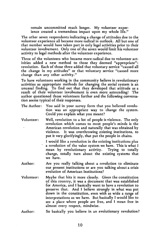remain uncommitted much longer. My volunteer experience created a tremendous impact upon my whole life."

The other seven respondents indicating a change of attitudes due to the volunteer experience all became more radical in outlook. All but one of that number would have taken part in only legal activities prior to their volunteer involvement. Only one of the seven would limit his volunteer activity to legal methods after the volunteer experience.

Three of the volunteers who became more radical due to volunteer activities added a new method to those they deemed "appropriate": revolution. Each of those three added that voluntary service "caused all the change in my attitudes" or that voluntary service "caused more change than any other activity."

To have volunteers working in the community believe in revolutionary activities as appropriate methods for changing the social system is an unusual finding. To find out that they developed that attitude as a result of their volunteer involvement is even more astounding! The author questioned those volunteers further and the following conversation seems typical of their responses.

- The Author: You said in your survey form that you believed revolution was an appropriate way to change the system. Could you explain what you meant?
- Volunteer: Well, revolution to a lot of people is violence. The only revolution which comes to most people's minds is the American revolution and naturally that was obtained by violence. It was overthrowing existing institutions, to put it very glorifyingly, that put the people in chains.

I would like a revolution in the existing institutions plus a revolution of the value system we have. This is what I mean by revolutionary activity. Trying to totally change, totally turn about the existing systems that we have.

- Author: Are you really talking about a revolution to eliminate our present institutions or are you talking about a crisis evolution of American Institutions?
- Volunteer: Maybe that hits it more closely. Given the constitution of this country, it was a document that was established for America, and I basically want to have a revolution to preserve that. And I believe strongly in what was put down in the constitution, even with as wide a range of interpretations as we have. But basically I would like to see a place where people are free, and I mean free in almost every respect, mindwise.

Author: So basically you believe in an evolutionary revolution?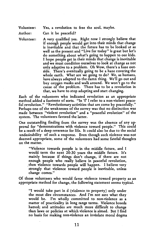Volunteer: Yes, a revolution to free the soul, maybe.

Author: Can it be peaceful?

Volunteer: A very qualified yes. Right now I strongly believe that if enough people would get into their minds that change is inevitable and that the future has to be looked at as well as the present and "Live for today" is great but let's do something about what's going to happen to our kids. I hope people get in their minds that change is inevitable and we must condition ourselves to look at change as not only adaptive to a problem. Oh Wow, there's a haze outside. There's eventually going to be a haze covering the whole earth. What are we going to do? We, as humans, have always adapted to the damn thing. We'll go out and buy oxygen masks and walk around. We won't go to the cause of the problem. There has to be a revolution in that, we have to stop adapting and start changing.

Each of the volunteers who indicated revolution as an appropriate method added a footnote of sorts. "In 'f' I refer to a non-violent peaceful revolution." "Revolutionary activities that are come by peacefully." Perhaps one of the weaknesses of the survey was that no distinction was made between "violent revolution" and a "peaceful evolution" of the system. The volunteers favored the latter.

One outstanding finding from the survey was the absence of any approval for "demonstrations with violence toward people." This could be a result of a deep reverence for life. It could also be due to the social undesirability of such a response. Even though such violence was not deemed appropriate, some of the volunteers had some fateful thoughts on the matter.

"Violence towards people is in the middle future, and I would term the next 20-30 years the middle future. It's mainly because if things don't change, if there are not enough people who really believe in peaceful revolution, then violence towards people will happen. I believe very strongly that violence toward people is inevitable, unless change comes."

Of those volunteers who would favor violence toward property as an appropriate method for change, the following statement seems typical.

"I would take part in d (violence to property) only under . the most dire circumstances. And I'm not sure what they would be. I'm wholly committed to non-violence as a matter of practicality in long range terms. Violence breeds hatred; and attitudes are much more difficult to change than laws or policies at which violence is aimed. But I find no basis for making non-violence an inviolate moral dogma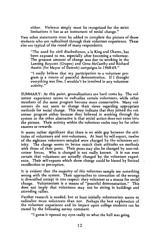either. Violence simply must be recognized for the strict limitations it has as an instrument of social change."

Two other statements must be added to complete the picture of those students who are radicalized through their volunteer experience. These also are typical of the mood of many respondents.

"The need for civil disobedience, a la King and Chavez, has been exposed to me, especially after becoming a volunteer. The greatest amount of change was due to working in the Lansing Boycott (Grapes) and Gene McCarthy and Richard Austin (for Mayor of Detroit) campaigns in 1968-69."

"I really believe that my participation in a volunteer program is a means of peaceful demonstration. If I thought everything was fine, I wouldn't be involved in any volunteer activity."

SUMMARY: At this point, generalizations are hard come by. The volunteer experience seems to radicalize certain volunteers, while other members of the same program become more conservative. Many volunteers do not seem to change their views regarding appropriate methods for social change. This may indicate that they joined the volunteer program either because they believed in working through the system or the other alternative is that social action does not enter into the picture. Their activity within the volunteer realm may be for other reasons or rewards.

It seems rather significant that there is no wide gap between the attitudes of volunteers and non-volunteers, At least by self-report, twelve of the eighteen volunteers sampled were changed by the volunteer activity. The change seems to better match their attitudes on methods with those of their peers. Their peers may also be changed by non-volunteer forces. Who is changed is not really known. It is not even certain that volunteers are actually changed by the volunteer experience. Their self-reports which show change could be biased by limited recollection or perception.

It is evident that the majority of this volunteer sample see something wrong with the system. Their approaches to correction of the wrongs is diversified except in one respect: they volunteer as a means for social change. Volunteerism is a means of "peaceful demonstration." This does not imply that volunteers may not be sitting in buildings and attending rallies.

Further research is needed, but at least initially volunteerism seems to radicalize more volunteers than not. Perhaps the best explanation of the volunteer experience and its impact upon college students can be stated by the following survey comment.

"I guess it opened my eyes really to what the hell was going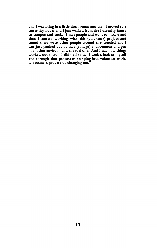on. I was living in a little dorm room and then I moved to a fraternity house and I just walked from the fraternity house to campus and back. I met people and went to mixers and then I started working with this (volunteer) project and found there were other people around that needed and I was just yanked out of that (college) environment and put in another environment, the real one. And I saw how things worked out there. I didn't like it. I took a look at myself and through that process of stepping into volunteer work, it became a process of changing me."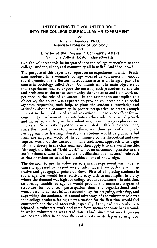### **INTEGRATING THE VOLUNTEER ROLE INTO THE COLLEGE CURRICULUM: AN EXPERIMENT**

by

Athena Theodore, Ph.D. Associate Professor of Sociology and Director of the Program in Community Affairs Simmons College, Boston, Massachusetts

Can the volunteer role be integrated into the college curriculum so that college, student, client, and community all benefit? And if so, how?

The purpose of this paper is to report on an experiment in which Freshman students in a woman's college worked as volunteers in various social agencies in the Boston metropolitan area as an integral part of a course in sociology called Urban Communities. The main objective of this experiment was to expose the entering college student to the life and problems of the urban community through an actual field work experience in the role of volunteer. In the attempt to accomplish this objective, the course was expected to provide volunteer help to social agencies requesting such help, to place the student's knowledge and attitudes about a community in proper perspective, to create enough interest in the problems of an urban environment so as to effect future community involvement, to contribute to the student's personal growth and maturity, and to give the student an opportunity to explore career interests. No specific hypotheses were tested in this first experiment, since the intention was to observe the various dimensions of an inductive approach to learning whereby the student would be gradually led from the empirical world of the community to the theoretical and conceptual world of the classroom. The traditional approach is to begin with the theory in the classroom and then apply it to the world outside. Although the idea of "field work" is not an uncommon practice in the social sciences, what is unique is the utilization of a "natural" role such as that of volunteer to aid in the achievement of knowledge.

The decision to use the volunteer role in this experiment was made because it appeared to present several advantages from both the administrative and pedagogical points of view. First of all, placing students in social agencies would be a relatively easy task to accomplish in a city where the demand was high for college student volunteers. In addition, an already established agency would provide the necessary degree of structure for volunteer participation since the organizational staff would assume at least initial responsibility for assigning, orienting, and supervising the students. A second advantage of the volunteer role was that college students facing a new situation for the first time would feel comfortable in the volunteer role, especially if they had previously participated in volunteer work and came from socio-economic backgrounds in which volunteering was a tradition. Third, since most social agencies are located either in or near the central city or its depressed neighbor-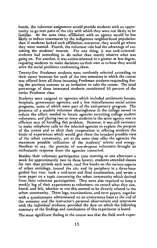hoods, the volunteer assignment would provide students with an opportunity to go into parts of the city with which they were not likely to be familiar. At the same time, affiliation with an agency would be less likely to induce resentment by the indigenous neighborhood population than if students lacked such affiliation; moreover, they would go where they were wanted. Fourth, the volunteer role had the advantage of sustaining the students' interest. For one thing, it was task-oriented: students had something to do rather than merely observe what was going on. For another, it was action-oriented to a greater or less degree, requiring students to make decisions on their own as to how they would solve the social problems confronting them.\_

Twenty-five Freshman students were randomly selected according to their career interests for each of the two semesters in which the course was offered from all those incoming Freshman students responding during the previous summer to an invitation to take the course. The total percentage of these interested students constituted 65 percent of the entire Freshman class.

Students were assigned to agencies which included settlement houses, hospitals, government agencies, and a few miscellaneous social action programs, some of which were part of the anti-poverty program. The presence of a student volunteer clearinghouse in the college served to reduce the effort needed to locate agencies recruiting college student volunteers, and placing two or more students in the same agency was an efficient way of handling this problem. However, it was still necessary to make telephone calls to the selected agencies to explain the purpose of the course and to elicit their cooperation in offering students the kinds of experiences which would give them the broadest possible view of the urban community, yet at the same time offer the agencies the maximum possible utilization of the students' talents and energy. Needless to say, the promise of non-dropout volunteers brought an enthusiastic response from the agencies contacted.

Besides their volunteer participation (one morning or one afternoon a **week** for approximately two to three hours), students attended classes for two class periods each week, read five books on the various aspects of urban sociology, toured the city and its periphery in a three-hour guided bus tour, took a mid-term and final examination, and wrote a term paper on a topic concerning the urban community which derived from their volunteer participation. They were also required to keep a weekly log of their experiences as volunteers-to record what they saw, heard, and felt, whether or not this seemed to be directly related to the urban community. These logs, examinations, and term papers, together with a questionnaire administered on an anonymous basis at the end of the semester and the instructor's personal observations and interviews with the individual students, provided the data on which the following summary of the findings and conclusions of this experiment is based.

The most significant finding in the course was that the field work exper-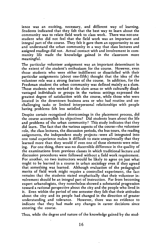ience was an exciting, necessary, and different way of learning. Students indicated that they felt that the best way to learn about the community was to relate field work to class work. There was not one student who did not feel that the field work was an important and integral part of the course. They felt it gave them an opportunity to see and understand the urban community in a way that class lectures and assigned readings did not. Actual contact with and involvement in community life made the knowledge gained in the classroom more meaningful.

The particular volunteer assignment was an important determinant in the extent of the student's enthusiasm for the course. However, even those students who were either indifferent or dissatisfied with their particular assignments (about one-fifth) thought that the idea of the volunteer role was a strong feature of the course. In addition, for the Freshman student the urban community was defined mainly as a slum. Those students who worked in the slum areas or with culturally disadvantaged individuals or groups in the various settings expressed the greatest degree of satisfaction with the course, while those who were located in the downtown business area or who had routine and unchallenging tasks or limited interpersonal relationships with people having problems felt less satisfied.

Despite certain recognized shortcomings in the placement process, did the course accomplish its objectives? Did students learn about the life and problems of the urban community? This study indicates that they did learn. The fact that the various aspects of the course-the volunteer role, the class lectures, the discussion periods, the bus tours, the reading assignments, the independent study projects-were all integrated into one total experience makes it difficult to state unequivocally that they learned more than they would if even one of these elements were missing. For one thing, there was no discernible difference in the quality of the examinations from previous classes in which traditional lecture and discussion procedures were followed without a field work requirement. For another, no two instructors would be likely to agree on just what ought to be learned in a course in urban sociology even if they agreed that something was learned. Although evaluation of the pedagogical merits of field work might require a controlled experiment, the fact remains that the students stated emphatically that their volunteer involvement should be an integral part of instruction. Far from becoming expert urbanologists, they nonetheless showed a substantial progression toward a rational perspective about the city and the people who lived in it. Even within the period of one semester they felt that their attitudes about the city and its people had changed in the direction of greater understanding and tolerance. However, there was no evidence to indicate that they had made any changes in career decisions since entering the course.

Thus, while the degree and nature of the knowledge gained by the stud-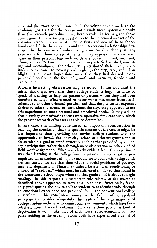ents and the exact contribution which the volunteer role made to the academic goals set for the course must await more systematic study than the research procedures used here revealed in forming the above conclusions, there is far less question as to the emotional impact of the volunteer experience on the student. A first-hand view of the neighborhoods and life in the inner city and the interpersonal relationships developed in the course of volunteering constituted a deeply stirring experience for these college students. They expressed over and over again in their personal logs such words as *shocked, amazed, surprised, afraid,* and *excited* on the one hand, and *very satisfied, thrilled, rewarding,* and *worthwhile* on the other. They attributed their changing attitudes to exposure to poverty and neglect, ethnicity, race, and urban blight. Their own impressions were that they had derived strong personal benefits in the form of growth and maturity, freedom and excitement.

Another interesting observation may be noted. It was not until the initial shock was over that these college students began to write or speak of wanting to help the person or persons whom they had been recruited to help. What seemed to occur was a movement from a selforiented to an other-oriented -position and that, despite earlier expressed desires to take the course to learn about the city, they appeared to use this experience to meet personal and emotional needs. It may well be that a variety of motivating forces were operative simultaneously which the present research effort was unable to determine.

In any case, this finding constituted an important consideration in reaching the conclusion that the specific content of the course might be less important than providing the novice college student with the opportunity to invade the inner city, relate to different groups, and to do so within a goal-oriented structure such as that provided by voluntary participation rather than through mere observation or other kind of field work assignment. What was clearly evident from the experiment was that learning at the college level requires some socialization prerequisites when students of high or middle socio-economic backgrounds are confronted for the first time with the social problems of poverty, race, and deprivation. There may indeed be a kind of conditioning or emotional "readiness" which must be cultivated similar to that found in the elementary school stage when the first-grade child is about to begin reading. In this respect the volunteer role related to the course as described above appeared to serve this "readiness" function by favorably predisposing the novice college student to academic study through an emotional experience not provided for in the conventional college curriculum. This conclusion points to the failure of college-level pedagogy to consider adequately the needs of the large majority of college students-those who come from environments which have been relatively free of social problems. In a sense their particular kind of deprivation is not unlike that of their lower socio-economic counterparts residing in the urban ghettos: both have experienced a denial of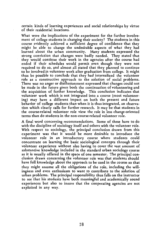certain kinds of learning experiences and social relationships by virtue of their residential locations.

What were the implications of the experiment for the further involvement of college students in changing their society? The students in this course evidently achieved a sufficient degree of confidence that they might be able to change the undesirable aspects of what they had learned about the urban community. Many students expressed the strong conviction that changes were badly needed. They stated that they would continue their work in the agencies after the course had ended if their schedules would permit even though they were not required to do so, and almost all stated that they planned to continue to be involved in volunteer work after graduation from college. It might thus be possible to conclude that they had internalized the volunteer role as a constructive approach to the solution of social problems. There was no anger or disillusionment expressed that changes could not be made in the future given both the continuation of volunteering and the acquisition of further knowledge. This conclusion indicates that volunteer work which is not integrated into a course (most volunteering) may have a different impact on both the present and future behavior of college students than when it is thus integrated, an observation which clearly calls for further research. It may *be* that students in the course-related volunteer role view the role in less change-oriented terms than do students in the non-course-related volunteer role.

A final word concerning recommendations. Some of these have to do with the discipline of sociology itself and others with the volunteer role. With respect to sociology, the principal conclusion drawn from this experiment was that it would *be* more desirable to introduce the volunteer role in an introductory course where students could concentrate on learning the basic sociological concepts through their volunteer experience without also having to cover the vast amount of substantive knowledge included in the standard urban sociology course as it is usually offered in the space of one semester. The principal conclusion drawn concerning the volunteer role was that students should have full knowledge about the approach to be used in the course so that they might assume all the obligations of the role, including the willingness and even enthusiasm to want to contribute to the solution of urban problems. The principal responsibility thus falls on the instructor to see that his students have both meaningful and academically sound experiences but also to insure that the cooperating agencies are not exploited in any way.